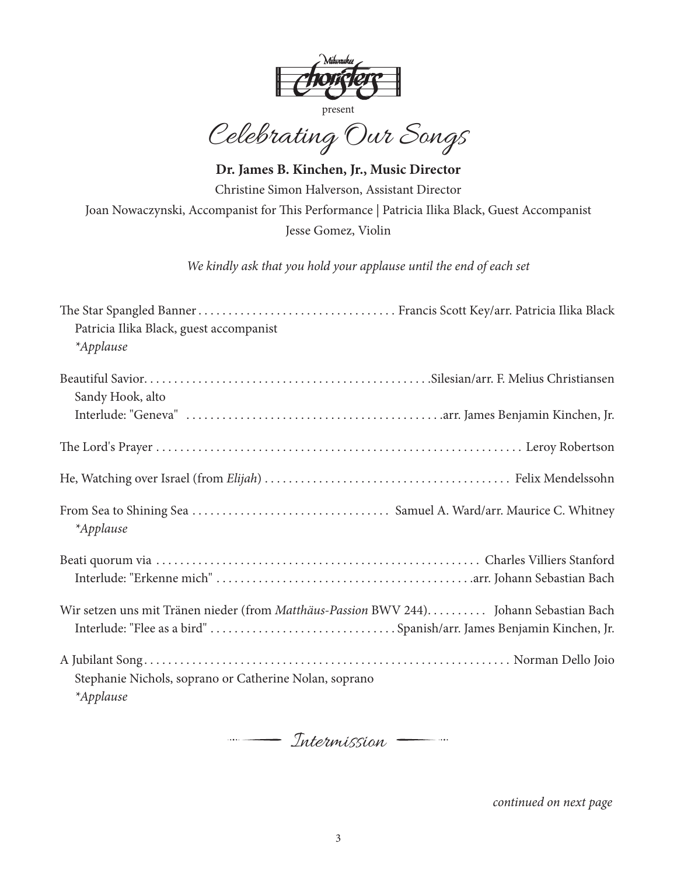

Celebrating Our Songs

**Dr. James B. Kinchen, Jr., Music Director** Christine Simon Halverson, Assistant Director Joan Nowaczynski, Accompanist for This Performance | Patricia Ilika Black, Guest Accompanist Jesse Gomez, Violin

*We kindly ask that you hold your applause until the end of each set*

| Patricia Ilika Black, guest accompanist                                                |  |
|----------------------------------------------------------------------------------------|--|
| *Applause                                                                              |  |
|                                                                                        |  |
| Sandy Hook, alto                                                                       |  |
|                                                                                        |  |
|                                                                                        |  |
|                                                                                        |  |
| *Applause                                                                              |  |
|                                                                                        |  |
|                                                                                        |  |
| Wir setzen uns mit Tränen nieder (from Matthäus-Passion BWV 244) Johann Sebastian Bach |  |
| Interlude: "Flee as a bird" Spanish/arr. James Benjamin Kinchen, Jr.                   |  |
|                                                                                        |  |
| Stephanie Nichols, soprano or Catherine Nolan, soprano                                 |  |
| *Applause                                                                              |  |



*continued on next page*